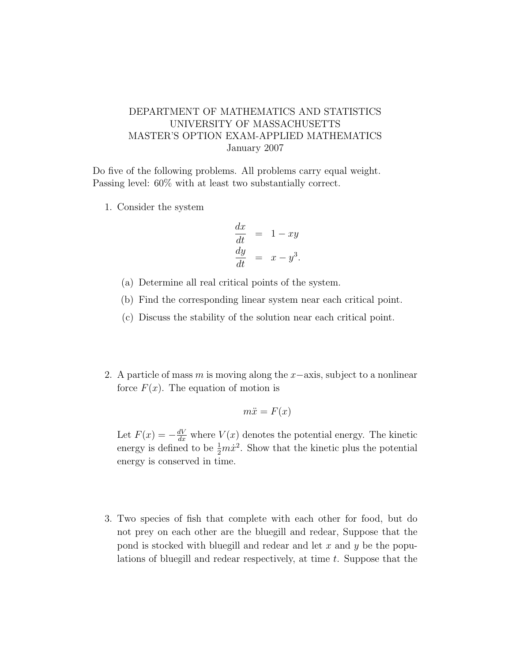## DEPARTMENT OF MATHEMATICS AND STATISTICS UNIVERSITY OF MASSACHUSETTS MASTER'S OPTION EXAM-APPLIED MATHEMATICS January 2007

Do five of the following problems. All problems carry equal weight. Passing level: 60% with at least two substantially correct.

1. Consider the system

$$
\frac{dx}{dt} = 1 - xy
$$
  

$$
\frac{dy}{dt} = x - y^3.
$$

- (a) Determine all real critical points of the system.
- (b) Find the corresponding linear system near each critical point.
- (c) Discuss the stability of the solution near each critical point.
- 2. A particle of mass m is moving along the x−axis, subject to a nonlinear force  $F(x)$ . The equation of motion is

$$
m\ddot{x} = F(x)
$$

Let  $F(x) = -\frac{dV}{dx}$  where  $V(x)$  denotes the potential energy. The kinetic energy is defined to be  $\frac{1}{2}m\dot{x}^2$ . Show that the kinetic plus the potential energy is conserved in time.

3. Two species of fish that complete with each other for food, but do not prey on each other are the bluegill and redear, Suppose that the pond is stocked with bluegill and redear and let  $x$  and  $y$  be the populations of bluegill and redear respectively, at time  $t$ . Suppose that the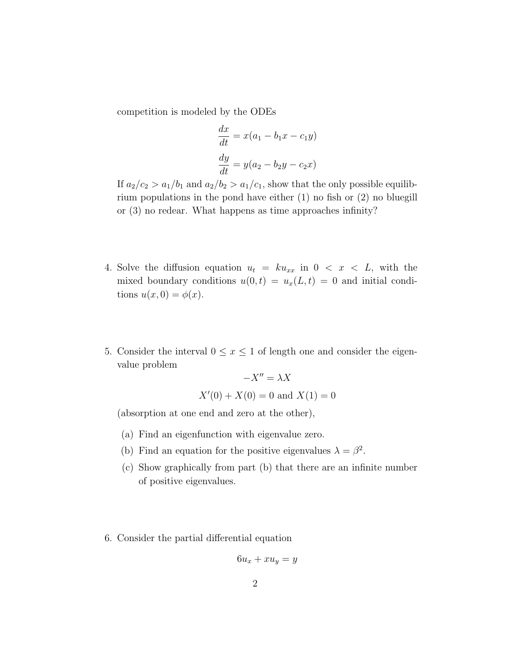competition is modeled by the ODEs

$$
\frac{dx}{dt} = x(a_1 - b_1x - c_1y)
$$

$$
\frac{dy}{dt} = y(a_2 - b_2y - c_2x)
$$

If  $a_2/c_2 > a_1/b_1$  and  $a_2/b_2 > a_1/c_1$ , show that the only possible equilibrium populations in the pond have either (1) no fish or (2) no bluegill or (3) no redear. What happens as time approaches infinity?

- 4. Solve the diffusion equation  $u_t = k u_{xx}$  in  $0 < x < L$ , with the mixed boundary conditions  $u(0, t) = u_x(L, t) = 0$  and initial conditions  $u(x, 0) = \phi(x)$ .
- 5. Consider the interval  $0 \le x \le 1$  of length one and consider the eigenvalue problem

$$
-X'' = \lambda X
$$
  

$$
X'(0) + X(0) = 0
$$
 and 
$$
X(1) = 0
$$

(absorption at one end and zero at the other),

- (a) Find an eigenfunction with eigenvalue zero.
- (b) Find an equation for the positive eigenvalues  $\lambda = \beta^2$ .
- (c) Show graphically from part (b) that there are an infinite number of positive eigenvalues.
- 6. Consider the partial differential equation

$$
6u_x + xu_y = y
$$